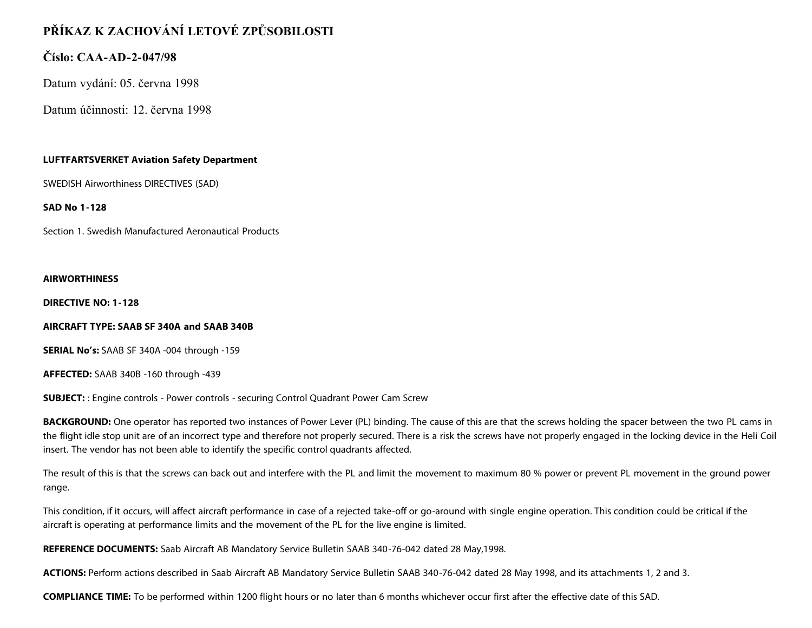# **PŘÍKAZ K ZACHOVÁNÍ LETOVÉ ZPŮSOBILOSTI**

# **Číslo: CAA-AD-2-047/98**

Datum vydání: 05. června 1998

Datum účinnosti: 12. června 1998

## **LUFTFARTSVERKET Aviation Safety Department**

SWEDISH Airworthiness DIRECTIVES (SAD)

**SAD No 1-128**

Section 1. Swedish Manufactured Aeronautical Products

#### **AIRWORTHINESS**

**DIRECTIVE NO: 1-128**

### **AIRCRAFT TYPE: SAAB SF 340A and SAAB 340B**

**SERIAL No's:** SAAB SF 340A -004 through -159

**AFFECTED:** SAAB 340B -160 through -439

**SUBJECT:** : Engine controls - Power controls - securing Control Quadrant Power Cam Screw

**BACKGROUND:** One operator has reported two instances of Power Lever (PL) binding. The cause of this are that the screws holding the spacer between the two PL cams in the flight idle stop unit are of an incorrect type and therefore not properly secured. There is a risk the screws have not properly engaged in the locking device in the Heli Coil insert. The vendor has not been able to identify the specific control quadrants affected.

The result of this is that the screws can back out and interfere with the PL and limit the movement to maximum 80 % power or prevent PL movement in the ground power range.

This condition, if it occurs, will affect aircraft performance in case of a rejected take-off or go-around with single engine operation. This condition could be critical if the aircraft is operating at performance limits and the movement of the PL for the live engine is limited.

**REFERENCE DOCUMENTS:** Saab Aircraft AB Mandatory Service Bulletin SAAB 340-76-042 dated 28 May,1998.

**ACTIONS:** Perform actions described in Saab Aircraft AB Mandatory Service Bulletin SAAB 340-76-042 dated 28 May 1998, and its attachments 1, 2 and 3.

**COMPLIANCE TIME:** To be performed within 1200 flight hours or no later than 6 months whichever occur first after the effective date of this SAD.